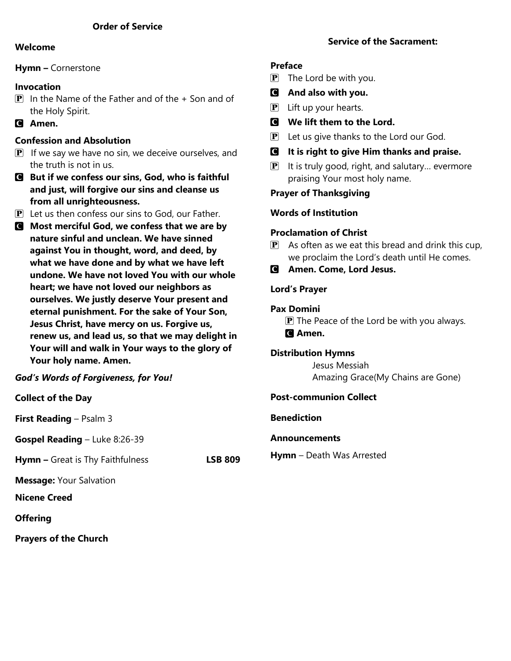#### **Welcome**

#### **Hymn –** Cornerstone

## **Invocation**

- $\boxed{\mathbf{P}}$  In the Name of the Father and of the + Son and of the Holy Spirit.
- C **Amen.**

## **Confession and Absolution**

- $\overline{P}$  If we say we have no sin, we deceive ourselves, and the truth is not in us.
- C **But if we confess our sins, God, who is faithful and just, will forgive our sins and cleanse us from all unrighteousness.**
- P Let us then confess our sins to God, our Father.
- C **Most merciful God, we confess that we are by nature sinful and unclean. We have sinned against You in thought, word, and deed, by what we have done and by what we have left undone. We have not loved You with our whole heart; we have not loved our neighbors as ourselves. We justly deserve Your present and eternal punishment. For the sake of Your Son, Jesus Christ, have mercy on us. Forgive us, renew us, and lead us, so that we may delight in Your will and walk in Your ways to the glory of Your holy name. Amen.**

## *God's Words of Forgiveness, for You!*

## **Collect of the Day**

**First Reading** – Psalm 3

**Gospel Reading** – Luke 8:26-39

**Hymn –** Great is Thy Faithfulness **LSB 809**

**Message:** Your Salvation

**Nicene Creed**

## **Offering**

**Prayers of the Church**

## **Service of the Sacrament:**

## **Preface**

- $\mathbf{P}$  The Lord be with you.
- C **And also with you.**
- $\mathbf{P}$  Lift up your hearts.
- C **We lift them to the Lord.**
- $\mathbf{P}$  Let us give thanks to the Lord our God.
- C **It is right to give Him thanks and praise.**
- $\mathbf{P}$  It is truly good, right, and salutary... evermore praising Your most holy name.

## **Prayer of Thanksgiving**

## **Words of Institution**

## **Proclamation of Christ**

- $\mathbf{P}$  As often as we eat this bread and drink this cup, we proclaim the Lord's death until He comes.
- C **Amen. Come, Lord Jesus.**

## **Lord's Prayer**

## **Pax Domini**

 $\mathbf{P}$  The Peace of the Lord be with you always. C **Amen.**

## **Distribution Hymns**

 Jesus Messiah Amazing Grace(My Chains are Gone)

## **Post-communion Collect**

## **Benediction**

## **Announcements**

**Hymn** – Death Was Arrested